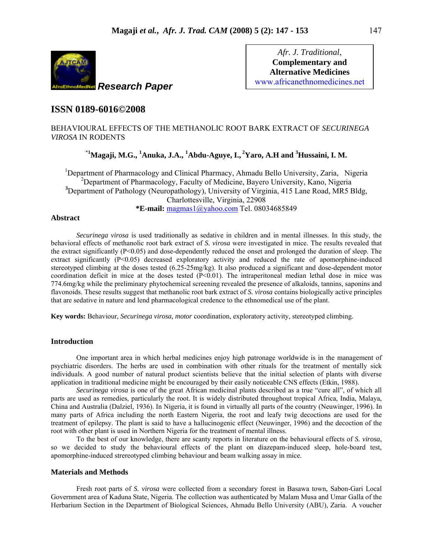

*Afr. J. Traditional*, **Complementary and Alternative Medicines**  www.africanethnomedicines.net

# **ISSN 0189-6016©2008**

BEHAVIOURAL EFFECTS OF THE METHANOLIC ROOT BARK EXTRACT OF *SECURINEGA VIROSA* IN RODENTS

# \***1 Magaji, M.G., <sup>1</sup> Anuka, J.A., <sup>1</sup> Abdu-Aguye, I., 2Yaro, A.H and 3 Hussaini, I. M.**

<sup>1</sup>Department of Pharmacology and Clinical Pharmacy, Ahmadu Bello University, Zaria, Nigeria <sup>2</sup>Department of Pharmacology, Faculty of Medicine, Bayero University, Kano, Nigeria <sup>3</sup>Department of Pathology (Neuropathology), University of Virginia, 415 Lane Road, MR5 Bldg, Charlottesville, Virginia, 22908 **\*E-mail:** magmas1@yahoo.com Tel. 08034685849

## **Abstract**

*Securinega virosa* is used traditionally as sedative in children and in mental illnesses. In this study, the behavioral effects of methanolic root bark extract of *S. virosa* were investigated in mice. The results revealed that the extract significantly (P<0.05) and dose-dependently reduced the onset and prolonged the duration of sleep. The extract significantly  $(P<0.05)$  decreased exploratory activity and reduced the rate of apomorphine-induced stereotyped climbing at the doses tested (6.25-25mg/kg). It also produced a significant and dose-dependent motor coordination deficit in mice at the doses tested  $(P<0.01)$ . The intraperitoneal median lethal dose in mice was 774.6mg/kg while the preliminary phytochemical screening revealed the presence of alkaloids, tannins, saponins and flavonoids. These results suggest that methanolic root bark extract of *S. virosa* contains biologically active principles that are sedative in nature and lend pharmacological credence to the ethnomedical use of the plant.

**Key words:** Behaviour, *Securinega virosa, motor* coordination, exploratory activity, stereotyped climbing.

## **Introduction**

One important area in which herbal medicines enjoy high patronage worldwide is in the management of psychiatric disorders. The herbs are used in combination with other rituals for the treatment of mentally sick individuals. A good number of natural product scientists believe that the initial selection of plants with diverse application in traditional medicine might be encouraged by their easily noticeable CNS effects (Etkin, 1988).

 *Securinega virosa* is one of the great African medicinal plants described as a true "cure all", of which all parts are used as remedies, particularly the root. It is widely distributed throughout tropical Africa, India, Malaya, China and Australia (Dalziel, 1936). In Nigeria, it is found in virtually all parts of the country (Neuwinger, 1996). In many parts of Africa including the north Eastern Nigeria, the root and leafy twig decoctions are used for the treatment of epilepsy. The plant is said to have a hallucinogenic effect (Neuwinger, 1996) and the decoction of the root with other plant is used in Northern Nigeria for the treatment of mental illness.

To the best of our knowledge, there are scanty reports in literature on the behavioural effects of *S. virosa*, so we decided to study the behavioural effects of the plant on diazepam-induced sleep, hole-board test, apomorphine-induced strereotyped climbing behaviour and beam walking assay in mice.

## **Materials and Methods**

Fresh root parts of *S. virosa* were collected from a secondary forest in Basawa town, Sabon-Gari Local Government area of Kaduna State, Nigeria. The collection was authenticated by Malam Musa and Umar Galla of the Herbarium Section in the Department of Biological Sciences, Ahmadu Bello University (ABU), Zaria. A voucher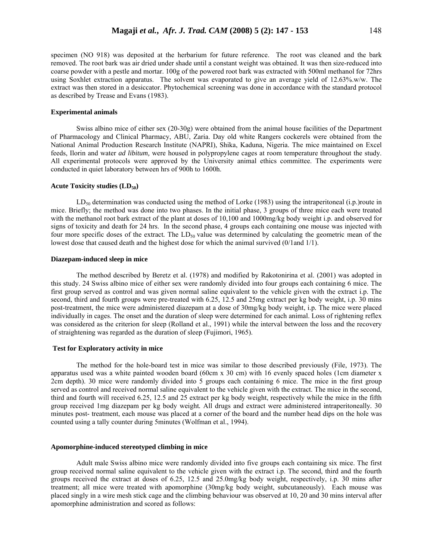specimen (NO 918) was deposited at the herbarium for future reference. The root was cleaned and the bark removed. The root bark was air dried under shade until a constant weight was obtained. It was then size-reduced into coarse powder with a pestle and mortar. 100g of the powered root bark was extracted with 500ml methanol for 72hrs using Soxhlet extraction apparatus. The solvent was evaporated to give an average yield of 12.63%.w/w. The extract was then stored in a desiccator. Phytochemical screening was done in accordance with the standard protocol as described by Trease and Evans (1983).

## **Experimental animals**

Swiss albino mice of either sex (20-30g) were obtained from the animal house facilities of the Department of Pharmacology and Clinical Pharmacy, ABU, Zaria. Day old white Rangers cockerels were obtained from the National Animal Production Research Institute (NAPRI), Shika, Kaduna, Nigeria. The mice maintained on Excel feeds, Ilorin and water *ad libitum,* were housed in polypropylene cages at room temperature throughout the study. All experimental protocols were approved by the University animal ethics committee. The experiments were conducted in quiet laboratory between hrs of 900h to 1600h.

## Acute Toxicity studies (LD<sub>50</sub>)

 $LD_{50}$  determination was conducted using the method of Lorke (1983) using the intraperitoneal (i.p.)route in mice. Briefly; the method was done into two phases. In the initial phase, 3 groups of three mice each were treated with the methanol root bark extract of the plant at doses of 10,100 and 1000mg/kg body weight i.p. and observed for signs of toxicity and death for 24 hrs. In the second phase, 4 groups each containing one mouse was injected with four more specific doses of the extract. The LD<sub>50</sub> value was determined by calculating the geometric mean of the lowest dose that caused death and the highest dose for which the animal survived (0/1and 1/1).

### **Diazepam-induced sleep in mice**

The method described by Beretz et al. (1978) and modified by Rakotonirina et al. (2001) was adopted in this study. 24 Swiss albino mice of either sex were randomly divided into four groups each containing 6 mice. The first group served as control and was given normal saline equivalent to the vehicle given with the extract i.p. The second, third and fourth groups were pre-treated with 6.25, 12.5 and 25mg extract per kg body weight, i.p. 30 mins post-treatment, the mice were administered diazepam at a dose of 30mg/kg body weight, i.p*.* The mice were placed individually in cages. The onset and the duration of sleep were determined for each animal. Loss of rightening reflex was considered as the criterion for sleep (Rolland et al., 1991) while the interval between the loss and the recovery of straightening was regarded as the duration of sleep (Fujimori, 1965).

#### **Test for Exploratory activity in mice**

The method for the hole-board test in mice was similar to those described previously (File, 1973). The apparatus used was a white painted wooden board (60cm x 30 cm) with 16 evenly spaced holes (1cm diameter x 2cm depth). 30 mice were randomly divided into 5 groups each containing 6 mice. The mice in the first group served as control and received normal saline equivalent to the vehicle given with the extract. The mice in the second, third and fourth will received 6.25, 12.5 and 25 extract per kg body weight, respectively while the mice in the fifth group received 1mg diazepam per kg body weight*.* All drugs and extract were administered intraperitoneally*.* 30 minutes post- treatment, each mouse was placed at a corner of the board and the number head dips on the hole was counted using a tally counter during 5minutes (Wolfman et al., 1994).

## **Apomorphine-induced stereotyped climbing in mice**

Adult male Swiss albino mice were randomly divided into five groups each containing six mice. The first group received normal saline equivalent to the vehicle given with the extract i.p. The second, third and the fourth groups received the extract at doses of 6.25, 12.5 and 25.0mg/kg body weight, respectively, i.p. 30 mins after treatment; all mice were treated with apomorphine (30mg/kg body weight, subcutaneously). Each mouse was placed singly in a wire mesh stick cage and the climbing behaviour was observed at 10, 20 and 30 mins interval after apomorphine administration and scored as follows: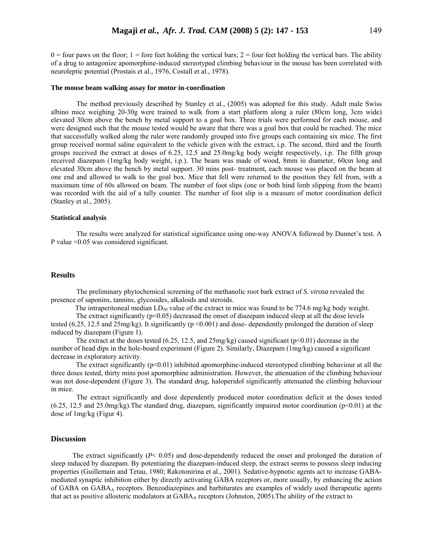$0 =$  four paws on the floor; 1 = fore feet holding the vertical bars; 2 = four feet holding the vertical bars. The ability of a drug to antagonize apomorphine-induced stereotyped climbing behaviour in the mouse has been correlated with neuroleptic potential (Prostais et al., 1976, Costall et al., 1978).

#### **The mouse beam walking assay for motor in-coordination**

The method previously described by Stanley et al., (2005) was adopted for this study. Adult male Swiss albino mice weighing 20-30g were trained to walk from a start platform along a ruler (80cm long, 3cm wide) elevated 30cm above the bench by metal support to a goal box. Three trials were performed for each mouse, and were designed such that the mouse tested would be aware that there was a goal box that could be reached. The mice that successfully walked along the ruler were randomly grouped into five groups each containing six mice. The first group received normal saline equivalent to the vehicle given with the extract, i.p. The second, third and the fourth groups received the extract at doses of 6.25, 12.5 and 25.0mg/kg body weight respectively, i.p. The fifth group received diazepam (1mg/kg body weight, i.p.). The beam was made of wood, 8mm in diameter, 60cm long and elevated 30cm above the bench by metal support. 30 mins post- treatment, each mouse was placed on the beam at one end and allowed to walk to the goal box. Mice that fell were returned to the position they fell from, with a maximum time of 60s allowed on beam. The number of foot slips (one or both hind limb slipping from the beam) was recorded with the aid of a tally counter. The number of foot slip is a measure of motor coordination deficit (Stanley et al., 2005).

#### **Statistical analysis**

The results were analyzed for statistical significance using one-way ANOVA followed by Dunnet's test. A P value <0.05 was considered significant.

### **Results**

The preliminary phytochemical screening of the methanolic root bark extract of *S. virosa* revealed the presence of saponins, tannins, glycosides, alkaloids and steroids.

The intraperitoneal median LD<sub>50</sub> value of the extract in mice was found to be 774.6 mg/kg body weight.

The extract significantly  $(p<0.05)$  decreased the onset of diazepam induced sleep at all the dose levels tested (6.25, 12.5 and  $25mg/kg$ ). It significantly ( $p \le 0.001$ ) and dose-dependently prolonged the duration of sleep induced by diazepam (Figure 1).

The extract at the doses tested (6.25, 12.5, and  $25mg/kg$ ) caused significant (p<0.01) decrease in the number of head dips in the hole-board experiment (Figure 2). Similarly, Diazepam (1mg/kg) caused a significant decrease in exploratory activity.

The extract significantly  $(p<0.01)$  inhibited apomorphine-induced stereotyped climbing behaviour at all the three doses tested, thirty mins post apomorphine administration. However, the attenuation of the climbing behaviour was not dose-dependent (Figure 3). The standard drug, haloperidol significantly attenuated the climbing behaviour in mice.

 The extract significantly and dose dependently produced motor coordination deficit at the doses tested  $(6.25, 12.5, 12.5)$  and  $(25.0)$ mg/kg). The standard drug, diazepam, significantly impaired motor coordination (p<0.01) at the dose of 1mg/kg (Figur 4).

#### **Discussion**

The extract significantly  $(P< 0.05)$  and dose-dependently reduced the onset and prolonged the duration of sleep induced by diazepam. By potentiating the diazepam-induced sleep, the extract seems to possess sleep inducing properties (Guillemain and Tetau, 1980; Rakotonirina et al., 2001). Sedative-hypnotic agents act to increase GABAmediated synaptic inhibition either by directly activating GABA receptors or, more usually, by enhancing the action of GABA on  $GABA_A$  receptors. Benzodiazepines and barbiturates are examples of widely used therapeutic agents that act as positive allosteric modulators at  $GABA_A$  receptors (Johnston, 2005). The ability of the extract to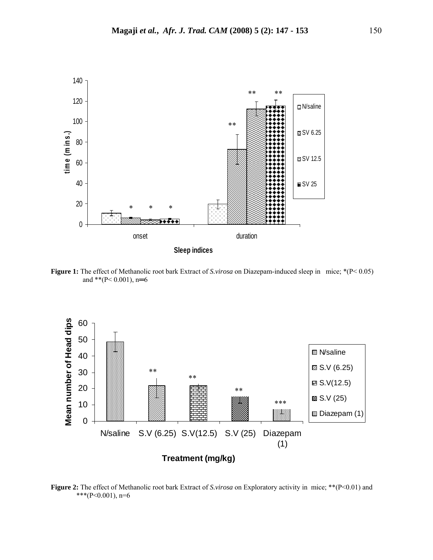

**Figure 1:** The effect of Methanolic root bark Extract of *S.virosa* on Diazepam-induced sleep in mice; \*(P< 0.05) and \*\*( $P < 0.001$ ), n=6



**Figure 2:** The effect of Methanolic root bark Extract of *S.virosa* on Exploratory activity in mice; \*\*(P<0.01) and \*\*\*(P<0.001), n=6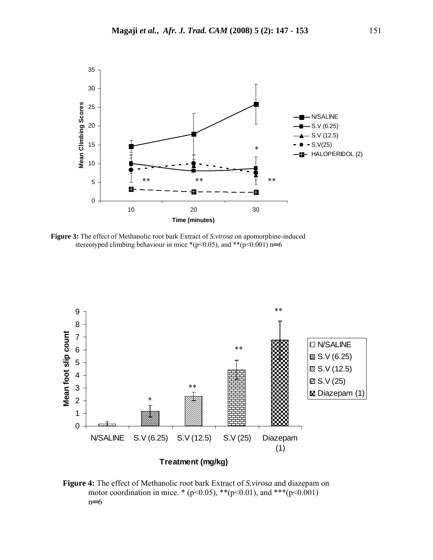

**Figure 3:** The effect of Methanolic root bark Extract of *S.virosa* on apomorphine-induced stereotyped climbing behaviour in mice \*( $p$ <0.05), and \*\*( $p$ <0.001) n=6



**Figure 4:** The effect of Methanolic root bark Extract of *S.virosa* and diazepam on motor coordination in mice. \* ( $p<0.05$ ), \*\* $(p<0.01)$ , and \*\*\* $(p<0.001)$ n═6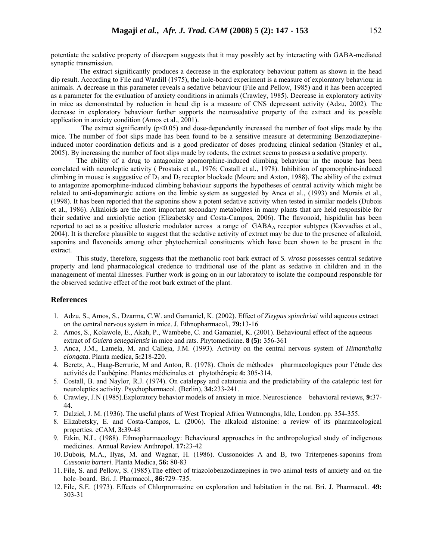potentiate the sedative property of diazepam suggests that it may possibly act by interacting with GABA-mediated synaptic transmission.

 The extract significantly produces a decrease in the exploratory behaviour pattern as shown in the head dip result. According to File and Wardill (1975), the hole-board experiment is a measure of exploratory behaviour in animals. A decrease in this parameter reveals a sedative behaviour (File and Pellow, 1985) and it has been accepted as a parameter for the evaluation of anxiety conditions in animals (Crawley, 1985). Decrease in exploratory activity in mice as demonstrated by reduction in head dip is a measure of CNS depressant activity (Adzu, 2002). The decrease in exploratory behaviour further supports the neurosedative property of the extract and its possible application in anxiety condition (Amos et al., 2001).

The extract significantly ( $p<0.05$ ) and dose-dependently increased the number of foot slips made by the mice. The number of foot slips made has been found to be a sensitive measure at determining Benzodiazepineinduced motor coordination deficits and is a good predicator of doses producing clinical sedation (Stanley et al., 2005). By increasing the number of foot slips made by rodents, the extract seems to possess a sedative property.

The ability of a drug to antagonize apomorphine-induced climbing behaviour in the mouse has been correlated with neuroleptic activity ( Prostais et al., 1976; Costall et al*.*, 1978). Inhibition of apomorphine-induced climbing in mouse is suggestive of  $D_1$  and  $D_2$  receptor blockade (Moore and Axton, 1988). The ability of the extract to antagonize apomorphine-induced climbing behaviour supports the hypotheses of central activity which might be related to anti-dopaminergic actions on the limbic system as suggested by Anca et al., (1993) and Morais et al., (1998). It has been reported that the saponins show a potent sedative activity when tested in similar models (Dubois et al., 1986). Alkaloids are the most important secondary metabolites in many plants that are held responsible for their sedative and anxiolytic action (Elizabetsky and Costa-Campos, 2006). The flavonoid, hispidulin has been reported to act as a positive allosteric modulator across a range of GABAA receptor subtypes (Kavvadias et al., 2004). It is therefore plausible to suggest that the sedative activity of extract may be due to the presence of alkaloid, saponins and flavonoids among other phytochemical constituents which have been shown to be present in the extract.

This study, therefore, suggests that the methanolic root bark extract of *S. virosa* possesses central sedative property and lend pharmacological credence to traditional use of the plant as sedative in children and in the management of mental illnesses. Further work is going on in our laboratory to isolate the compound responsible for the observed sedative effect of the root bark extract of the plant.

## **References**

- 1. Adzu, S., Amos, S., Dzarma, C.W. and Gamaniel, K. (2002). Effect of *Zizypus spinchristi* wild aqueous extract on the central nervous system in mice. J. Ethnopharmacol*.*, **79:**13-16
- 2. Amos, S., Kolawole, E., Akah, P., Wambebe, C. and Gamaniel, K. (2001). Behavioural effect of the aqueous extract of *Guiera senegalensis* in mice and rats. Phytomedicine. **8 (5):** 356-361
- 3. Anca, J.M., Lamela, M. and Calleja, J.M. (1993). Activity on the central nervous system of *Himanthalia elongata*. Planta medica, **5:**218-220.
- 4. Beretz, A., Haag-Berrurie, M and Anton, R. (1978). Choix de méthodes pharmacologiques pour l'étude des activités de l'aubépine. Plantes médicinales et phytothérapie **4:** 305-314.
- 5. Costall, B. and Naylor, R.J. (1974). On catalepsy and catatonia and the predictability of the cataleptic test for neuroleptics activity. Psychopharmacol. (Berlin), **34:**233-241.
- 6. Crawley, J.N (1985).Exploratory behavior models of anxiety in mice. Neuroscience behavioral reviews, **9:**37- 44.
- 7. Dalziel, J. M. (1936). The useful plants of West Tropical Africa Watmonghs, Idle, London. pp. 354-355.
- 8. Elizabetsky, E. and Costa-Campos, L. (2006). The alkaloid alstonine: a review of its pharmacological properties. eCAM, **3:**39-48
- 9. Etkin, N.L. (1988). Ethnopharmacology: Behavioural approaches in the anthropological study of indigenous medicines. Annual Review Anthropol. **17:**23-42
- 10. Dubois, M.A., Ilyas, M. and Wagnar, H. (1986). Cussonoides A and B, two Triterpenes-saponins from *Cussonia barteri*. Planta Medica, **56:** 80-83
- 11. File, S. and Pellow, S. (1985).The effect of triazolobenzodiazepines in two animal tests of anxiety and on the hole–board. Bri. J. Pharmacol.*,* **86:**729–735.
- 12. File, S.E. (1973). Effects of Chlorpromazine on exploration and habitation in the rat. Bri. J. Pharmacol*.*. **49:** 303-31